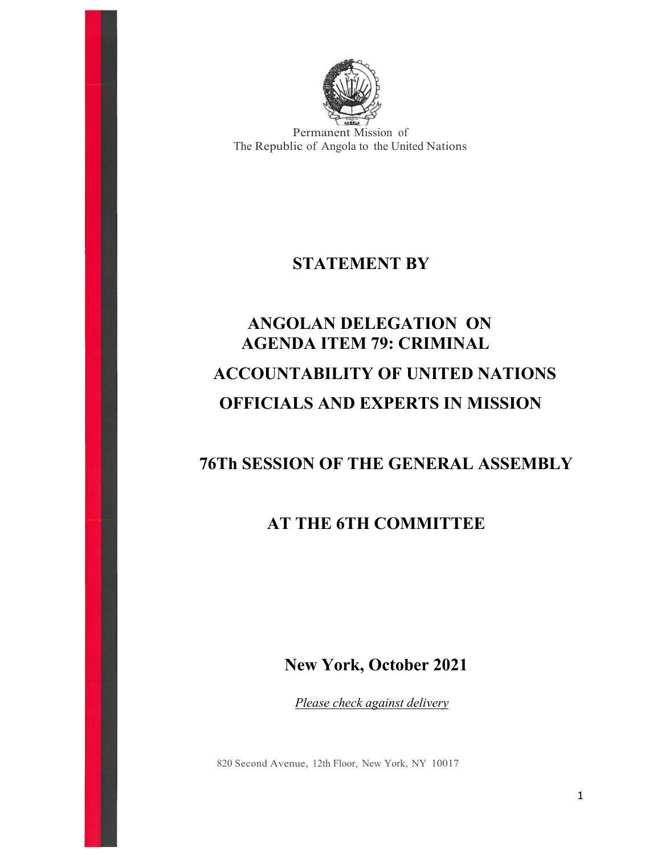

Permanent Mission of The Republic of Angola to the United Nations

#### **STATEMENT BY**

# **ANGOLAN DELEGATION ON AGENDA ITEM 79: CRIMINAL ACCOUNTABILITY OF UNITED NATIONS OFFICIALS AND EXPERTS IN MISSION**

#### **76Th SESSION OF THE GENERAL ASSEMBLY**

#### **AT THE 6TH COMMITTEE**

 **New York, October 2021**

*Please check against delivery*

820 Second Avenue, 12th Floor, New York, NY 10017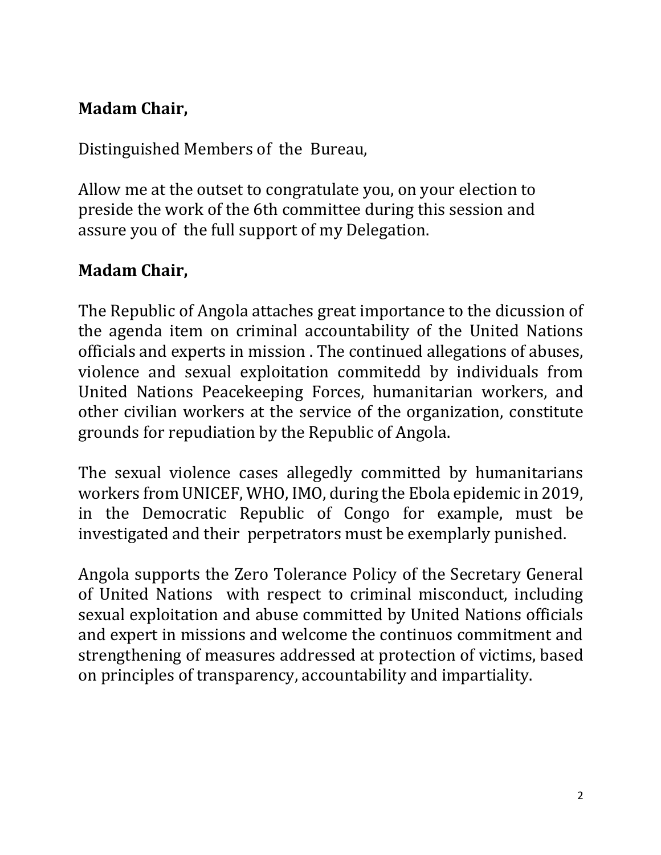## **Madam Chair,**

Distinguished Members of the Bureau,

Allow me at the outset to congratulate you, on your election to preside the work of the 6th committee during this session and assure you of the full support of my Delegation.

#### **Madam Chair,**

The Republic of Angola attaches great importance to the dicussion of the agenda item on criminal accountability of the United Nations officials and experts in mission. The continued allegations of abuses, violence and sexual exploitation commitedd by individuals from United Nations Peacekeeping Forces, humanitarian workers, and other civilian workers at the service of the organization, constitute grounds for repudiation by the Republic of Angola.

The sexual violence cases allegedly committed by humanitarians workers from UNICEF, WHO, IMO, during the Ebola epidemic in 2019, in the Democratic Republic of Congo for example, must be investigated and their perpetrators must be exemplarly punished.

Angola supports the Zero Tolerance Policy of the Secretary General of United Nations with respect to criminal misconduct, including sexual exploitation and abuse committed by United Nations officials and expert in missions and welcome the continuos commitment and strengthening of measures addressed at protection of victims, based on principles of transparency, accountability and impartiality.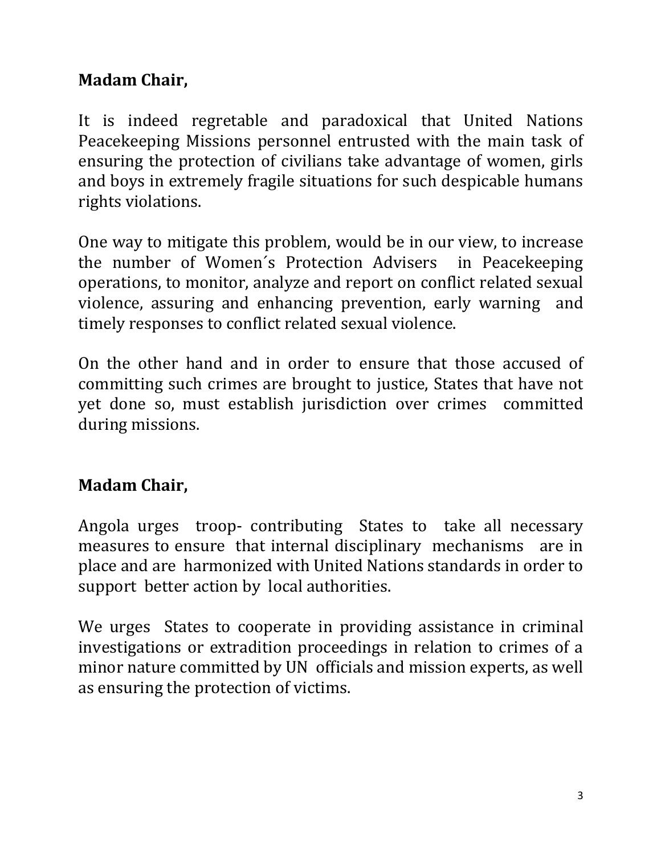## **Madam Chair,**

It is indeed regretable and paradoxical that United Nations Peacekeeping Missions personnel entrusted with the main task of ensuring the protection of civilians take advantage of women, girls and boys in extremely fragile situations for such despicable humans rights violations.

One way to mitigate this problem, would be in our view, to increase the number of Women's Protection Advisers in Peacekeeping operations, to monitor, analyze and report on conflict related sexual violence, assuring and enhancing prevention, early warning and timely responses to conflict related sexual violence.

On the other hand and in order to ensure that those accused of committing such crimes are brought to justice, States that have not yet done so, must establish jurisdiction over crimes committed during missions.

## **Madam Chair,**

Angola urges troop- contributing States to take all necessary measures to ensure that internal disciplinary mechanisms are in place and are harmonized with United Nations standards in order to support better action by local authorities.

We urges States to cooperate in providing assistance in criminal investigations or extradition proceedings in relation to crimes of a minor nature committed by UN officials and mission experts, as well as ensuring the protection of victims.